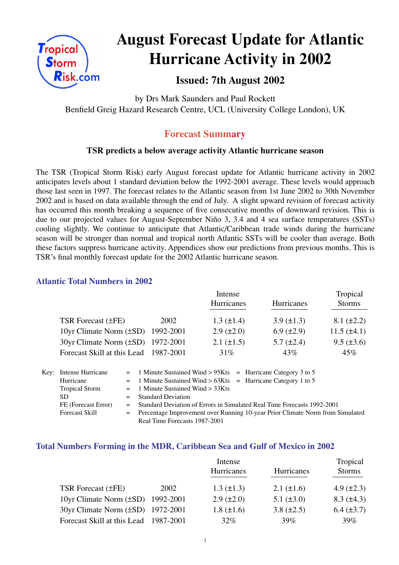

# **August Forecast Update for Atlantic Hurricane Activity in 2002**

### **Issued: 7th August 2002**

by Drs Mark Saunders and Paul Rockett Benfield Greig Hazard Research Centre, UCL (University College London), UK

### **Forecast Summary**

#### **TSR predicts a below average activity Atlantic hurricane season**

The TSR (Tropical Storm Risk) early August forecast update for Atlantic hurricane activity in 2002 anticipates levels about 1 standard deviation below the 1992-2001 average. These levels would approach those last seen in 1997. The forecast relates to the Atlantic season from 1st June 2002 to 30th November 2002 and is based on data available through the end of July. A slight upward revision of forecast activity has occurred this month breaking a sequence of five consecutive months of downward revision. This is due to our projected values for August-September Niño 3, 3.4 and 4 sea surface temperatures (SSTs) cooling slightly. We continue to anticipate that Atlantic/Caribbean trade winds during the hurricane season will be stronger than normal and tropical north Atlantic SSTs will be cooler than average. Both these factors suppress hurricane activity. Appendices show our predictions from previous months. This is TSR's final monthly forecast update for the 2002 Atlantic hurricane season.

#### **Atlantic Total Numbers in 2002**

|                                       |           | Intense<br><b>Hurricanes</b> | Hurricanes        | Tropical<br><b>Storms</b> |
|---------------------------------------|-----------|------------------------------|-------------------|---------------------------|
| TSR Forecast $(\pm FE)$               | 2002      | $1.3 \ (\pm 1.4)$            | $3.9 \ (\pm 1.3)$ | $8.1 (\pm 2.2)$           |
| 10yr Climate Norm $(\pm SD)$          | 1992-2001 | $2.9 \ (\pm 2.0)$            | $6.9 \ (\pm 2.9)$ | $11.5 (\pm 4.1)$          |
| 30yr Climate Norm (±SD) 1972-2001     |           | $2.1 (\pm 1.5)$              | $5.7 \ (\pm 2.4)$ | $9.5 (\pm 3.6)$           |
| Forecast Skill at this Lead 1987-2001 |           | 31%                          | 43%               | 45%                       |

| Key: Intense Hurricane | $=$ 1 Minute Sustained Wind > 95Kts $=$ Hurricane Category 3 to 5               |
|------------------------|---------------------------------------------------------------------------------|
| Hurricane              | $=$ 1 Minute Sustained Wind > 63Kts = Hurricane Category 1 to 5                 |
| <b>Tropical Storm</b>  | $=$ 1 Minute Sustained Wind $>$ 33Kts                                           |
| SD.                    | $=$ Standard Deviation                                                          |
| FE (Forecast Error)    | = Standard Deviation of Errors in Simulated Real Time Forecasts 1992-2001       |
| <b>Forecast Skill</b>  | = Percentage Improvement over Running 10-year Prior Climate Norm from Simulated |
|                        | Real Time Forecasts 1987-2001                                                   |

#### **Total Numbers Forming in the MDR, Caribbean Sea and Gulf of Mexico in 2002**

|                                        |      | Intense           |                 |                   |  |
|----------------------------------------|------|-------------------|-----------------|-------------------|--|
|                                        |      | Hurricanes        | Hurricanes      | <b>Storms</b>     |  |
| <b>TSR Forecast (±FE)</b>              | 2002 | $1.3 \ (\pm 1.3)$ | 2.1 $(\pm 1.6)$ | 4.9 $(\pm 2.3)$   |  |
| 10yr Climate Norm $(\pm SD)$ 1992-2001 |      | $2.9 \ (\pm 2.0)$ | 5.1 $(\pm 3.0)$ | $8.3 \ (\pm 4.3)$ |  |
| 30yr Climate Norm (±SD) 1972-2001      |      | $1.8 (\pm 1.6)$   | 3.8 $(\pm 2.5)$ | $6.4 (\pm 3.7)$   |  |
| Forecast Skill at this Lead 1987-2001  |      | $32\%$            | 39%             | $39\%$            |  |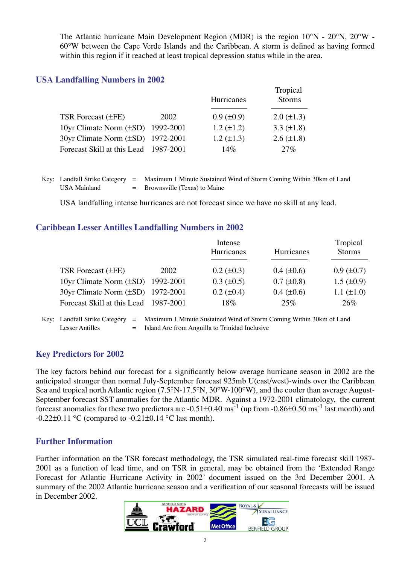The Atlantic hurricane Main Development Region (MDR) is the region 10°N - 20°N, 20°W - 60°W between the Cape Verde Islands and the Caribbean. A storm is defined as having formed within this region if it reached at least tropical depression status while in the area.

#### **USA Landfalling Numbers in 2002**

|                                        |      | Hurricanes        | Tropical<br><b>Storms</b> |  |
|----------------------------------------|------|-------------------|---------------------------|--|
| <b>TSR</b> Forecast ( $\pm$ FE)        | 2002 | $0.9 \ (\pm 0.9)$ | $2.0 (\pm 1.3)$           |  |
| 10yr Climate Norm $(\pm SD)$ 1992-2001 |      | $1.2 (\pm 1.2)$   | 3.3 $(\pm 1.8)$           |  |
| 30yr Climate Norm (±SD) 1972-2001      |      | $1.2 (\pm 1.3)$   | $2.6 \ (\pm 1.8)$         |  |
| Forecast Skill at this Lead 1987-2001  |      | 14%               | 27%                       |  |

Key: Landfall Strike Category = Maximum 1 Minute Sustained Wind of Storm Coming Within 30km of Land USA Mainland  $=$  Brownsville (Texas) to Maine

USA landfalling intense hurricanes are not forecast since we have no skill at any lead.

#### **Caribbean Lesser Antilles Landfalling Numbers in 2002**

|                                        |      | Intense<br>Hurricanes | Hurricanes        | Tropical<br><b>Storms</b> |
|----------------------------------------|------|-----------------------|-------------------|---------------------------|
| TSR Forecast $(\pm FE)$                | 2002 | $0.2 \ (\pm 0.3)$     | $0.4 \ (\pm 0.6)$ | $0.9 \ (\pm 0.7)$         |
| 10yr Climate Norm $(\pm SD)$ 1992-2001 |      | $0.3 \ (\pm 0.5)$     | $0.7 (\pm 0.8)$   | $1.5 \ (\pm 0.9)$         |
| 30yr Climate Norm (±SD) 1972-2001      |      | $0.2 (\pm 0.4)$       | $0.4 (\pm 0.6)$   | $1.1 (\pm 1.0)$           |
| Forecast Skill at this Lead 1987-2001  |      | 18%                   | 25%               | 26%                       |

Key: Landfall Strike Category = Maximum 1 Minute Sustained Wind of Storm Coming Within 30km of Land Lesser Antilles  $=$  Island Arc from Anguilla to Trinidad Inclusive

#### **Key Predictors for 2002**

The key factors behind our forecast for a significantly below average hurricane season in 2002 are the anticipated stronger than normal July-September forecast 925mb U(east/west)-winds over the Caribbean Sea and tropical north Atlantic region (7.5°N-17.5°N, 30°W-100°W), and the cooler than average August-September forecast SST anomalies for the Atlantic MDR. Against a 1972-2001 climatology, the current forecast anomalies for these two predictors are  $-0.51\pm0.40$  ms<sup>-1</sup> (up from  $-0.86\pm0.50$  ms<sup>-1</sup> last month) and  $-0.22\pm0.11$  °C (compared to  $-0.21\pm0.14$  °C last month).

#### **Further Information**

Further information on the TSR forecast methodology, the TSR simulated real-time forecast skill 1987- 2001 as a function of lead time, and on TSR in general, may be obtained from the 'Extended Range Forecast for Atlantic Hurricane Activity in 2002' document issued on the 3rd December 2001. A summary of the 2002 Atlantic hurricane season and a verification of our seasonal forecasts will be issued in December 2002.

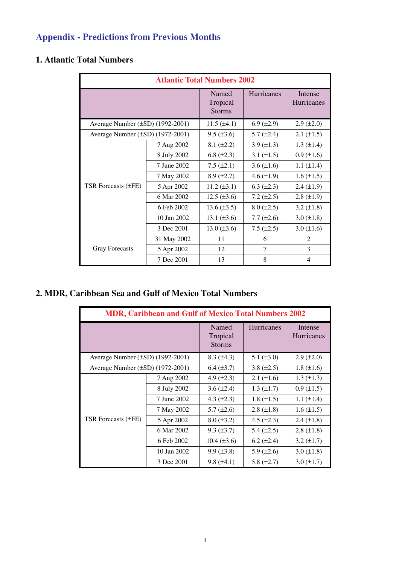# **Appendix - Predictions from Previous Months**

## **1. Atlantic Total Numbers**

| <b>Atlantic Total Numbers 2002</b>    |             |                                    |                   |                       |  |  |
|---------------------------------------|-------------|------------------------------------|-------------------|-----------------------|--|--|
|                                       |             | Named<br>Tropical<br><b>Storms</b> | <b>Hurricanes</b> | Intense<br>Hurricanes |  |  |
| Average Number (±SD) (1992-2001)      |             | 11.5 $(\pm 4.1)$                   | 6.9 $(\pm 2.9)$   | $2.9 (\pm 2.0)$       |  |  |
| Average Number $(\pm SD)$ (1972-2001) |             | $9.5 (\pm 3.6)$                    | 5.7 $(\pm 2.4)$   | $2.1 (\pm 1.5)$       |  |  |
|                                       | 7 Aug 2002  | $8.1 (\pm 2.2)$                    | 3.9 $(\pm 1.3)$   | $1.3 \ (\pm 1.4)$     |  |  |
| TSR Forecasts (±FE)                   | 8 July 2002 | 6.8 $(\pm 2.3)$                    | 3.1 $(\pm 1.5)$   | $0.9 (\pm 1.6)$       |  |  |
|                                       | 7 June 2002 | 7.5 $(\pm 2.1)$                    | 3.6 $(\pm 1.6)$   | $1.1 (\pm 1.4)$       |  |  |
|                                       | 7 May 2002  | $8.9 (\pm 2.7)$                    | 4.6 $(\pm 1.9)$   | $1.6 (\pm 1.5)$       |  |  |
|                                       | 5 Apr 2002  | $11.2 (\pm 3.1)$                   | 6.3 $(\pm 2.3)$   | $2.4 (\pm 1.9)$       |  |  |
|                                       | 6 Mar 2002  | $12.5 (\pm 3.6)$                   | 7.2 $(\pm 2.5)$   | $2.8 \ (\pm 1.9)$     |  |  |
|                                       | 6 Feb 2002  | $13.6 (\pm 3.5)$                   | $8.0 \ (\pm 2.5)$ | 3.2 $(\pm 1.8)$       |  |  |
|                                       | 10 Jan 2002 | 13.1 $(\pm 3.6)$                   | $7.7 (\pm 2.6)$   | $3.0 (\pm 1.8)$       |  |  |
|                                       | 3 Dec 2001  | $13.0 (\pm 3.6)$                   | $7.5 (\pm 2.5)$   | $3.0 (\pm 1.6)$       |  |  |
|                                       | 31 May 2002 | 11                                 | 6                 | 2                     |  |  |
| <b>Gray Forecasts</b>                 | 5 Apr 2002  | 12                                 | 7                 | 3                     |  |  |
|                                       | 7 Dec 2001  | 13                                 | 8                 | $\overline{4}$        |  |  |

## **2. MDR, Caribbean Sea and Gulf of Mexico Total Numbers**

| <b>MDR, Caribbean and Gulf of Mexico Total Numbers 2002</b> |             |                                    |                   |                              |  |
|-------------------------------------------------------------|-------------|------------------------------------|-------------------|------------------------------|--|
|                                                             |             | Named<br>Tropical<br><b>Storms</b> | <b>Hurricanes</b> | Intense<br><b>Hurricanes</b> |  |
| Average Number (±SD) (1992-2001)                            |             | $8.3 (\pm 4.3)$                    | 5.1 $(\pm 3.0)$   | $2.9 \ (\pm 2.0)$            |  |
| Average Number (±SD) (1972-2001)                            |             | $6.4 \ (\pm 3.7)$                  | 3.8 $(\pm 2.5)$   | $1.8 (\pm 1.6)$              |  |
| TSR Forecasts (±FE)                                         | 7 Aug 2002  | 4.9 $(\pm 2.3)$                    | $2.1 (\pm 1.6)$   | $1.3 \ (\pm 1.3)$            |  |
|                                                             | 8 July 2002 | 3.6 $(\pm 2.4)$                    | $1.3 \ (\pm 1.7)$ | $0.9 (\pm 1.5)$              |  |
|                                                             | 7 June 2002 | 4.3 $(\pm 2.3)$                    | $1.8 \ (\pm 1.5)$ | $1.1 (\pm 1.4)$              |  |
|                                                             | 7 May 2002  | $5.7 (\pm 2.6)$                    | $2.8 (\pm 1.8)$   | $1.6 (\pm 1.5)$              |  |
|                                                             | 5 Apr 2002  | $8.0 \ (\pm 3.2)$                  | 4.5 $(\pm 2.3)$   | 2.4 $(\pm 1.8)$              |  |
|                                                             | 6 Mar 2002  | $9.3 \ (\pm 3.7)$                  | 5.4 $(\pm 2.5)$   | $2.8 (\pm 1.8)$              |  |
|                                                             | 6 Feb 2002  | $10.4 \ (\pm 3.6)$                 | $6.2 \ (\pm 2.4)$ | $3.2 \ (\pm 1.7)$            |  |
|                                                             | 10 Jan 2002 | $9.9 \ (\pm 3.8)$                  | $5.9 \ (\pm 2.6)$ | $3.0 (\pm 1.8)$              |  |
|                                                             | 3 Dec 2001  | $9.8 (\pm 4.1)$                    | 5.8 $(\pm 2.7)$   | $3.0 \ (\pm 1.7)$            |  |